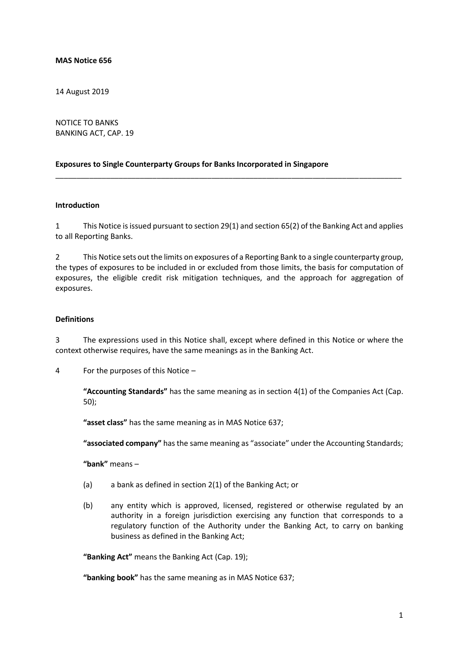#### **MAS Notice 656**

14 August 2019

NOTICE TO BANKS BANKING ACT, CAP. 19

#### **Exposures to Single Counterparty Groups for Banks Incorporated in Singapore**

#### **Introduction**

1 This Notice is issued pursuant to section 29(1) and section 65(2) of the Banking Act and applies to all Reporting Banks.

\_\_\_\_\_\_\_\_\_\_\_\_\_\_\_\_\_\_\_\_\_\_\_\_\_\_\_\_\_\_\_\_\_\_\_\_\_\_\_\_\_\_\_\_\_\_\_\_\_\_\_\_\_\_\_\_\_\_\_\_\_\_\_\_\_\_\_\_\_\_\_\_\_\_\_\_\_\_\_\_\_\_

2 This Notice sets out the limits on exposures of a Reporting Bank to a single counterparty group, the types of exposures to be included in or excluded from those limits, the basis for computation of exposures, the eligible credit risk mitigation techniques, and the approach for aggregation of exposures.

#### **Definitions**

3 The expressions used in this Notice shall, except where defined in this Notice or where the context otherwise requires, have the same meanings as in the Banking Act.

4 For the purposes of this Notice –

**"Accounting Standards"** has the same meaning as in section 4(1) of the Companies Act (Cap. 50);

**"asset class"** has the same meaning as in MAS Notice 637;

**"associated company"** has the same meaning as "associate" under the Accounting Standards;

**"bank"** means –

- (a) a bank as defined in section 2(1) of the Banking Act; or
- (b) any entity which is approved, licensed, registered or otherwise regulated by an authority in a foreign jurisdiction exercising any function that corresponds to a regulatory function of the Authority under the Banking Act, to carry on banking business as defined in the Banking Act;

**"Banking Act"** means the Banking Act (Cap. 19);

**"banking book"** has the same meaning as in MAS Notice 637;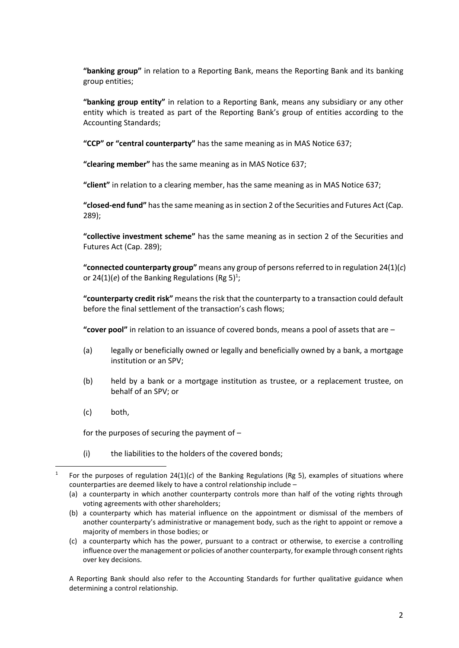**"banking group"** in relation to a Reporting Bank, means the Reporting Bank and its banking group entities;

**"banking group entity"** in relation to a Reporting Bank, means any subsidiary or any other entity which is treated as part of the Reporting Bank's group of entities according to the Accounting Standards;

**"CCP" or "central counterparty"** has the same meaning as in MAS Notice 637;

**"clearing member"** has the same meaning as in MAS Notice 637;

**"client"** in relation to a clearing member, has the same meaning as in MAS Notice 637;

**"closed-end fund"** has the same meaning as in section 2 of the Securities and Futures Act (Cap. 289);

**"collective investment scheme"** has the same meaning as in section 2 of the Securities and Futures Act (Cap. 289);

**"connected counterparty group"** means any group of persons referred to in regulation 24(1)(*c*) or 24(1)(*e*) of the Banking Regulations (Rg 5)<sup>1</sup>;

**"counterparty credit risk"** means the risk that the counterparty to a transaction could default before the final settlement of the transaction's cash flows;

**"cover pool"** in relation to an issuance of covered bonds, means a pool of assets that are –

- (a) legally or beneficially owned or legally and beneficially owned by a bank, a mortgage institution or an SPV;
- (b) held by a bank or a mortgage institution as trustee, or a replacement trustee, on behalf of an SPV; or
- (c) both,

**.** 

for the purposes of securing the payment of –

(i) the liabilities to the holders of the covered bonds;

A Reporting Bank should also refer to the Accounting Standards for further qualitative guidance when determining a control relationship.

<sup>1</sup> For the purposes of regulation 24(1)(*c*) of the Banking Regulations (Rg 5), examples of situations where counterparties are deemed likely to have a control relationship include –

<sup>(</sup>a) a counterparty in which another counterparty controls more than half of the voting rights through voting agreements with other shareholders;

<sup>(</sup>b) a counterparty which has material influence on the appointment or dismissal of the members of another counterparty's administrative or management body, such as the right to appoint or remove a majority of members in those bodies; or

<sup>(</sup>c) a counterparty which has the power, pursuant to a contract or otherwise, to exercise a controlling influence over the management or policies of another counterparty, for example through consent rights over key decisions.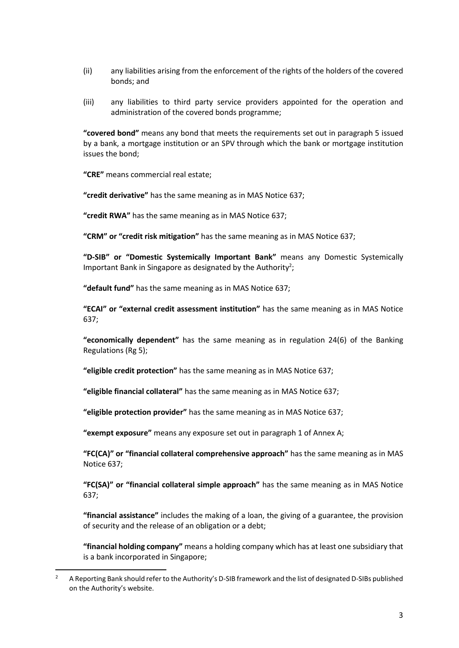- (ii) any liabilities arising from the enforcement of the rights of the holders of the covered bonds; and
- (iii) any liabilities to third party service providers appointed for the operation and administration of the covered bonds programme;

**"covered bond"** means any bond that meets the requirements set out in paragraph 5 issued by a bank, a mortgage institution or an SPV through which the bank or mortgage institution issues the bond;

**"CRE"** means commercial real estate;

**.** 

**"credit derivative"** has the same meaning as in MAS Notice 637;

**"credit RWA"** has the same meaning as in MAS Notice 637;

**"CRM" or "credit risk mitigation"** has the same meaning as in MAS Notice 637;

**"D-SIB" or "Domestic Systemically Important Bank"** means any Domestic Systemically Important Bank in Singapore as designated by the Authority<sup>2</sup>;

**"default fund"** has the same meaning as in MAS Notice 637;

**"ECAI" or "external credit assessment institution"** has the same meaning as in MAS Notice 637;

**"economically dependent"** has the same meaning as in regulation 24(6) of the Banking Regulations (Rg 5);

**"eligible credit protection"** has the same meaning as in MAS Notice 637;

**"eligible financial collateral"** has the same meaning as in MAS Notice 637;

**"eligible protection provider"** has the same meaning as in MAS Notice 637;

**"exempt exposure"** means any exposure set out in paragraph 1 of Annex A;

**"FC(CA)" or "financial collateral comprehensive approach"** has the same meaning as in MAS Notice 637;

**"FC(SA)" or "financial collateral simple approach"** has the same meaning as in MAS Notice 637;

**"financial assistance"** includes the making of a loan, the giving of a guarantee, the provision of security and the release of an obligation or a debt;

**"financial holding company"** means a holding company which has at least one subsidiary that is a bank incorporated in Singapore;

<sup>&</sup>lt;sup>2</sup> A Reporting Bank should refer to the Authority's D-SIB framework and the list of designated D-SIBs published on the Authority's website.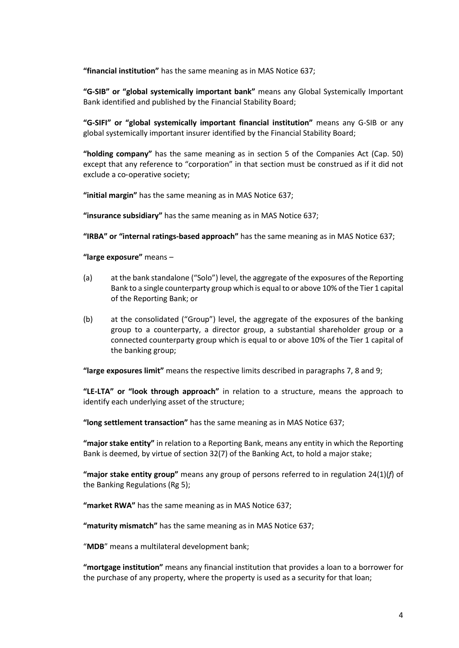**"financial institution"** has the same meaning as in MAS Notice 637;

**"G-SIB" or "global systemically important bank"** means any Global Systemically Important Bank identified and published by the Financial Stability Board;

**"G-SIFI" or "global systemically important financial institution"** means any G*-*SIB or any global systemically important insurer identified by the Financial Stability Board;

**"holding company"** has the same meaning as in section 5 of the Companies Act (Cap. 50) except that any reference to "corporation" in that section must be construed as if it did not exclude a co‑operative society;

**"initial margin"** has the same meaning as in MAS Notice 637;

**"insurance subsidiary"** has the same meaning as in MAS Notice 637;

**"IRBA" or "internal ratings-based approach"** has the same meaning as in MAS Notice 637;

**"large exposure"** means –

- (a) at the bank standalone ("Solo") level, the aggregate of the exposures of the Reporting Bank to a single counterparty group which is equal to or above 10% of the Tier 1 capital of the Reporting Bank; or
- (b) at the consolidated ("Group") level, the aggregate of the exposures of the banking group to a counterparty, a director group, a substantial shareholder group or a connected counterparty group which is equal to or above 10% of the Tier 1 capital of the banking group;

**"large exposures limit"** means the respective limits described in paragraphs 7, 8 and 9;

**"LE-LTA" or "look through approach"** in relation to a structure, means the approach to identify each underlying asset of the structure;

**"long settlement transaction"** has the same meaning as in MAS Notice 637;

**"major stake entity"** in relation to a Reporting Bank, means any entity in which the Reporting Bank is deemed, by virtue of section 32(7) of the Banking Act, to hold a major stake;

**"major stake entity group"** means any group of persons referred to in regulation 24(1)(*f*) of the Banking Regulations (Rg 5);

**"market RWA"** has the same meaning as in MAS Notice 637;

**"maturity mismatch"** has the same meaning as in MAS Notice 637;

"**MDB**" means a multilateral development bank;

**"mortgage institution"** means any financial institution that provides a loan to a borrower for the purchase of any property, where the property is used as a security for that loan;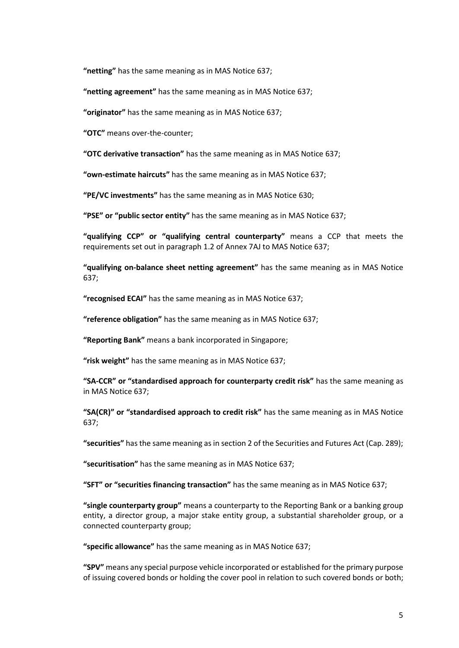**"netting"** has the same meaning as in MAS Notice 637;

**"netting agreement"** has the same meaning as in MAS Notice 637;

**"originator"** has the same meaning as in MAS Notice 637;

**"OTC"** means over-the-counter;

**"OTC derivative transaction"** has the same meaning as in MAS Notice 637;

**"own-estimate haircuts"** has the same meaning as in MAS Notice 637;

**"PE/VC investments"** has the same meaning as in MAS Notice 630;

**"PSE" or "public sector entity"** has the same meaning as in MAS Notice 637;

**"qualifying CCP" or "qualifying central counterparty"** means a CCP that meets the requirements set out in paragraph 1.2 of Annex 7AJ to MAS Notice 637;

**"qualifying on-balance sheet netting agreement"** has the same meaning as in MAS Notice 637;

**"recognised ECAI"** has the same meaning as in MAS Notice 637;

**"reference obligation"** has the same meaning as in MAS Notice 637;

**"Reporting Bank"** means a bank incorporated in Singapore;

**"risk weight"** has the same meaning as in MAS Notice 637;

**"SA-CCR" or "standardised approach for counterparty credit risk"** has the same meaning as in MAS Notice 637;

**"SA(CR)" or "standardised approach to credit risk"** has the same meaning as in MAS Notice 637;

**"securities"** has the same meaning as in section 2 of the Securities and Futures Act (Cap. 289);

**"securitisation"** has the same meaning as in MAS Notice 637;

**"SFT" or "securities financing transaction"** has the same meaning as in MAS Notice 637;

**"single counterparty group"** means a counterparty to the Reporting Bank or a banking group entity, a director group, a major stake entity group, a substantial shareholder group, or a connected counterparty group;

**"specific allowance"** has the same meaning as in MAS Notice 637;

**"SPV"** means any special purpose vehicle incorporated or established for the primary purpose of issuing covered bonds or holding the cover pool in relation to such covered bonds or both;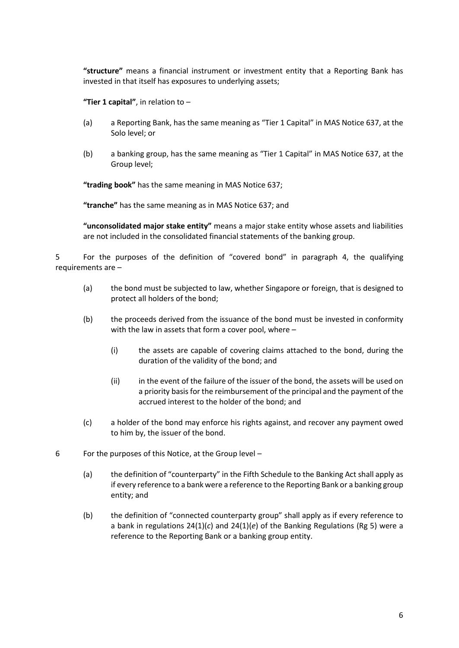**"structure"** means a financial instrument or investment entity that a Reporting Bank has invested in that itself has exposures to underlying assets;

**"Tier 1 capital"**, in relation to –

- (a) a Reporting Bank, has the same meaning as "Tier 1 Capital" in MAS Notice 637, at the Solo level; or
- (b) a banking group, has the same meaning as "Tier 1 Capital" in MAS Notice 637, at the Group level;

**"trading book"** has the same meaning in MAS Notice 637;

**"tranche"** has the same meaning as in MAS Notice 637; and

**"unconsolidated major stake entity"** means a major stake entity whose assets and liabilities are not included in the consolidated financial statements of the banking group.

5 For the purposes of the definition of "covered bond" in paragraph 4, the qualifying requirements are –

- (a) the bond must be subjected to law, whether Singapore or foreign, that is designed to protect all holders of the bond;
- (b) the proceeds derived from the issuance of the bond must be invested in conformity with the law in assets that form a cover pool, where –
	- (i) the assets are capable of covering claims attached to the bond, during the duration of the validity of the bond; and
	- (ii) in the event of the failure of the issuer of the bond, the assets will be used on a priority basis for the reimbursement of the principal and the payment of the accrued interest to the holder of the bond; and
- (c) a holder of the bond may enforce his rights against, and recover any payment owed to him by, the issuer of the bond.
- 6 For the purposes of this Notice, at the Group level
	- (a) the definition of "counterparty" in the Fifth Schedule to the Banking Act shall apply as if every reference to a bank were a reference to the Reporting Bank or a banking group entity; and
	- (b) the definition of "connected counterparty group" shall apply as if every reference to a bank in regulations 24(1)(*c*) and 24(1)(*e*) of the Banking Regulations (Rg 5) were a reference to the Reporting Bank or a banking group entity.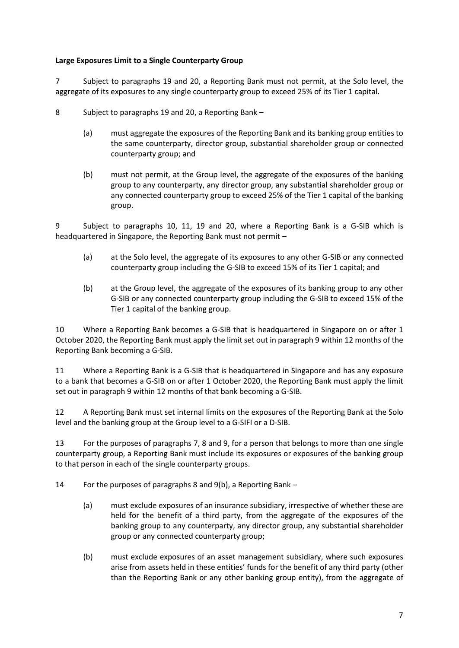## **Large Exposures Limit to a Single Counterparty Group**

7 Subject to paragraphs 19 and 20, a Reporting Bank must not permit, at the Solo level, the aggregate of its exposures to any single counterparty group to exceed 25% of its Tier 1 capital.

- 8 Subject to paragraphs 19 and 20, a Reporting Bank
	- (a) must aggregate the exposures of the Reporting Bank and its banking group entities to the same counterparty, director group, substantial shareholder group or connected counterparty group; and
	- (b) must not permit, at the Group level, the aggregate of the exposures of the banking group to any counterparty, any director group, any substantial shareholder group or any connected counterparty group to exceed 25% of the Tier 1 capital of the banking group.

9 Subject to paragraphs 10, 11, 19 and 20, where a Reporting Bank is a G-SIB which is headquartered in Singapore, the Reporting Bank must not permit –

- (a) at the Solo level, the aggregate of its exposures to any other G-SIB or any connected counterparty group including the G-SIB to exceed 15% of its Tier 1 capital; and
- (b) at the Group level, the aggregate of the exposures of its banking group to any other G-SIB or any connected counterparty group including the G-SIB to exceed 15% of the Tier 1 capital of the banking group.

10 Where a Reporting Bank becomes a G-SIB that is headquartered in Singapore on or after 1 October 2020, the Reporting Bank must apply the limit set out in paragraph 9 within 12 months of the Reporting Bank becoming a G-SIB.

11 Where a Reporting Bank is a G-SIB that is headquartered in Singapore and has any exposure to a bank that becomes a G-SIB on or after 1 October 2020, the Reporting Bank must apply the limit set out in paragraph 9 within 12 months of that bank becoming a G-SIB.

12 A Reporting Bank must set internal limits on the exposures of the Reporting Bank at the Solo level and the banking group at the Group level to a G-SIFI or a D-SIB.

13 For the purposes of paragraphs 7, 8 and 9, for a person that belongs to more than one single counterparty group, a Reporting Bank must include its exposures or exposures of the banking group to that person in each of the single counterparty groups.

14 For the purposes of paragraphs 8 and 9(b), a Reporting Bank –

- (a) must exclude exposures of an insurance subsidiary, irrespective of whether these are held for the benefit of a third party, from the aggregate of the exposures of the banking group to any counterparty, any director group, any substantial shareholder group or any connected counterparty group;
- (b) must exclude exposures of an asset management subsidiary, where such exposures arise from assets held in these entities' funds for the benefit of any third party (other than the Reporting Bank or any other banking group entity), from the aggregate of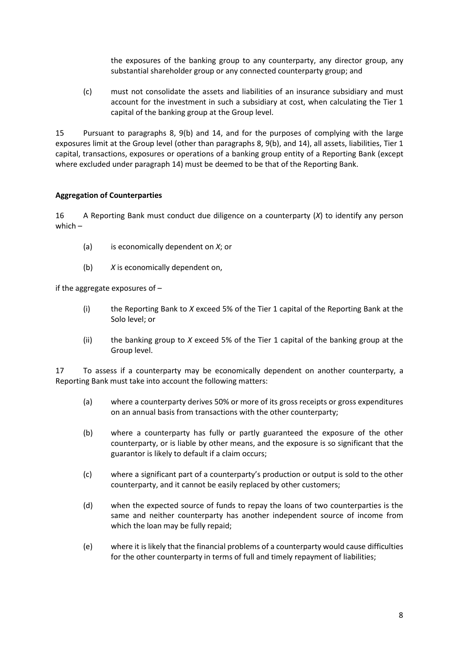the exposures of the banking group to any counterparty, any director group, any substantial shareholder group or any connected counterparty group; and

(c) must not consolidate the assets and liabilities of an insurance subsidiary and must account for the investment in such a subsidiary at cost, when calculating the Tier 1 capital of the banking group at the Group level.

15 Pursuant to paragraphs 8, 9(b) and 14, and for the purposes of complying with the large exposures limit at the Group level (other than paragraphs 8, 9(b), and 14), all assets, liabilities, Tier 1 capital, transactions, exposures or operations of a banking group entity of a Reporting Bank (except where excluded under paragraph 14) must be deemed to be that of the Reporting Bank.

## **Aggregation of Counterparties**

16 A Reporting Bank must conduct due diligence on a counterparty (*X*) to identify any person which –

- (a) is economically dependent on *X*; or
- (b) *X* is economically dependent on,

if the aggregate exposures of –

- (i) the Reporting Bank to *X* exceed 5% of the Tier 1 capital of the Reporting Bank at the Solo level; or
- (ii) the banking group to *X* exceed 5% of the Tier 1 capital of the banking group at the Group level.

17 To assess if a counterparty may be economically dependent on another counterparty, a Reporting Bank must take into account the following matters:

- (a) where a counterparty derives 50% or more of its gross receipts or gross expenditures on an annual basis from transactions with the other counterparty;
- (b) where a counterparty has fully or partly guaranteed the exposure of the other counterparty, or is liable by other means, and the exposure is so significant that the guarantor is likely to default if a claim occurs;
- (c) where a significant part of a counterparty's production or output is sold to the other counterparty, and it cannot be easily replaced by other customers;
- (d) when the expected source of funds to repay the loans of two counterparties is the same and neither counterparty has another independent source of income from which the loan may be fully repaid;
- (e) where it is likely that the financial problems of a counterparty would cause difficulties for the other counterparty in terms of full and timely repayment of liabilities;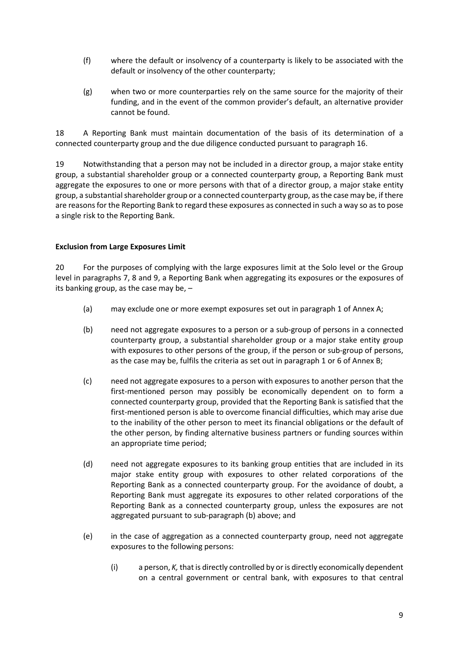- (f) where the default or insolvency of a counterparty is likely to be associated with the default or insolvency of the other counterparty;
- (g) when two or more counterparties rely on the same source for the majority of their funding, and in the event of the common provider's default, an alternative provider cannot be found.

18 A Reporting Bank must maintain documentation of the basis of its determination of a connected counterparty group and the due diligence conducted pursuant to paragraph 16.

19 Notwithstanding that a person may not be included in a director group, a major stake entity group, a substantial shareholder group or a connected counterparty group, a Reporting Bank must aggregate the exposures to one or more persons with that of a director group, a major stake entity group, a substantial shareholder group or a connected counterparty group, as the case may be, if there are reasons for the Reporting Bank to regard these exposures as connected in such a way so as to pose a single risk to the Reporting Bank.

## **Exclusion from Large Exposures Limit**

20 For the purposes of complying with the large exposures limit at the Solo level or the Group level in paragraphs 7, 8 and 9, a Reporting Bank when aggregating its exposures or the exposures of its banking group, as the case may be, –

- (a) may exclude one or more exempt exposures set out in paragraph 1 of Annex A;
- (b) need not aggregate exposures to a person or a sub-group of persons in a connected counterparty group, a substantial shareholder group or a major stake entity group with exposures to other persons of the group, if the person or sub-group of persons, as the case may be, fulfils the criteria as set out in paragraph 1 or 6 of Annex B;
- (c) need not aggregate exposures to a person with exposures to another person that the first-mentioned person may possibly be economically dependent on to form a connected counterparty group, provided that the Reporting Bank is satisfied that the first-mentioned person is able to overcome financial difficulties, which may arise due to the inability of the other person to meet its financial obligations or the default of the other person, by finding alternative business partners or funding sources within an appropriate time period;
- (d) need not aggregate exposures to its banking group entities that are included in its major stake entity group with exposures to other related corporations of the Reporting Bank as a connected counterparty group. For the avoidance of doubt, a Reporting Bank must aggregate its exposures to other related corporations of the Reporting Bank as a connected counterparty group, unless the exposures are not aggregated pursuant to sub-paragraph (b) above; and
- (e) in the case of aggregation as a connected counterparty group, need not aggregate exposures to the following persons:
	- (i) a person, *K,* that is directly controlled by or is directly economically dependent on a central government or central bank, with exposures to that central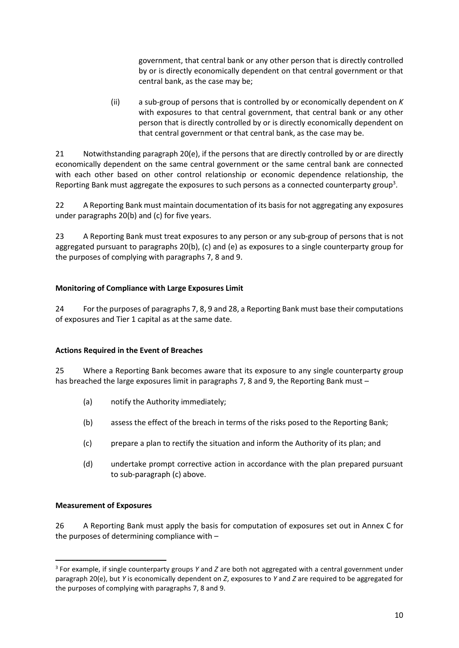government, that central bank or any other person that is directly controlled by or is directly economically dependent on that central government or that central bank, as the case may be;

(ii) a sub-group of persons that is controlled by or economically dependent on *K* with exposures to that central government, that central bank or any other person that is directly controlled by or is directly economically dependent on that central government or that central bank, as the case may be.

21 Notwithstanding paragraph 20(e), if the persons that are directly controlled by or are directly economically dependent on the same central government or the same central bank are connected with each other based on other control relationship or economic dependence relationship, the Reporting Bank must aggregate the exposures to such persons as a connected counterparty group<sup>3</sup>.

22 A Reporting Bank must maintain documentation of its basis for not aggregating any exposures under paragraphs 20(b) and (c) for five years.

23 A Reporting Bank must treat exposures to any person or any sub-group of persons that is not aggregated pursuant to paragraphs 20(b), (c) and (e) as exposures to a single counterparty group for the purposes of complying with paragraphs 7, 8 and 9.

# **Monitoring of Compliance with Large Exposures Limit**

24 For the purposes of paragraphs 7, 8, 9 and 28, a Reporting Bank must base their computations of exposures and Tier 1 capital as at the same date.

## **Actions Required in the Event of Breaches**

25 Where a Reporting Bank becomes aware that its exposure to any single counterparty group has breached the large exposures limit in paragraphs 7, 8 and 9, the Reporting Bank must –

- (a) notify the Authority immediately;
- (b) assess the effect of the breach in terms of the risks posed to the Reporting Bank;
- (c) prepare a plan to rectify the situation and inform the Authority of its plan; and
- (d) undertake prompt corrective action in accordance with the plan prepared pursuant to sub-paragraph (c) above.

## **Measurement of Exposures**

1

26 A Reporting Bank must apply the basis for computation of exposures set out in Annex C for the purposes of determining compliance with –

<sup>3</sup> For example, if single counterparty groups *Y* and *Z* are both not aggregated with a central government under paragraph 20(e), but *Y* is economically dependent on *Z*, exposures to *Y* and *Z* are required to be aggregated for the purposes of complying with paragraphs 7, 8 and 9.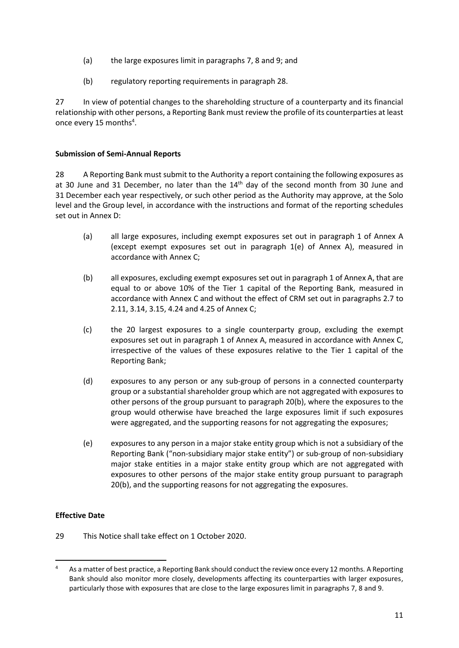- (a) the large exposures limit in paragraphs 7, 8 and 9; and
- (b) regulatory reporting requirements in paragraph 28.

27 In view of potential changes to the shareholding structure of a counterparty and its financial relationship with other persons, a Reporting Bank must review the profile of its counterparties at least once every 15 months<sup>4</sup>.

#### **Submission of Semi-Annual Reports**

28 A Reporting Bank must submit to the Authority a report containing the following exposures as at 30 June and 31 December, no later than the  $14<sup>th</sup>$  day of the second month from 30 June and 31 December each year respectively, or such other period as the Authority may approve, at the Solo level and the Group level, in accordance with the instructions and format of the reporting schedules set out in Annex D:

- (a) all large exposures, including exempt exposures set out in paragraph 1 of Annex A (except exempt exposures set out in paragraph 1(e) of Annex A), measured in accordance with Annex C;
- (b) all exposures, excluding exempt exposures set out in paragraph 1 of Annex A, that are equal to or above 10% of the Tier 1 capital of the Reporting Bank, measured in accordance with Annex C and without the effect of CRM set out in paragraphs 2.7 to 2.11, 3.14, 3.15, 4.24 and 4.25 of Annex C;
- (c) the 20 largest exposures to a single counterparty group, excluding the exempt exposures set out in paragraph 1 of Annex A, measured in accordance with Annex C, irrespective of the values of these exposures relative to the Tier 1 capital of the Reporting Bank;
- (d) exposures to any person or any sub-group of persons in a connected counterparty group or a substantial shareholder group which are not aggregated with exposures to other persons of the group pursuant to paragraph 20(b), where the exposures to the group would otherwise have breached the large exposures limit if such exposures were aggregated, and the supporting reasons for not aggregating the exposures;
- (e) exposures to any person in a major stake entity group which is not a subsidiary of the Reporting Bank ("non-subsidiary major stake entity") or sub-group of non-subsidiary major stake entities in a major stake entity group which are not aggregated with exposures to other persons of the major stake entity group pursuant to paragraph 20(b), and the supporting reasons for not aggregating the exposures.

## **Effective Date**

1

29 This Notice shall take effect on 1 October 2020.

<sup>4</sup> As a matter of best practice, a Reporting Bank should conduct the review once every 12 months. A Reporting Bank should also monitor more closely, developments affecting its counterparties with larger exposures, particularly those with exposures that are close to the large exposures limit in paragraphs 7, 8 and 9.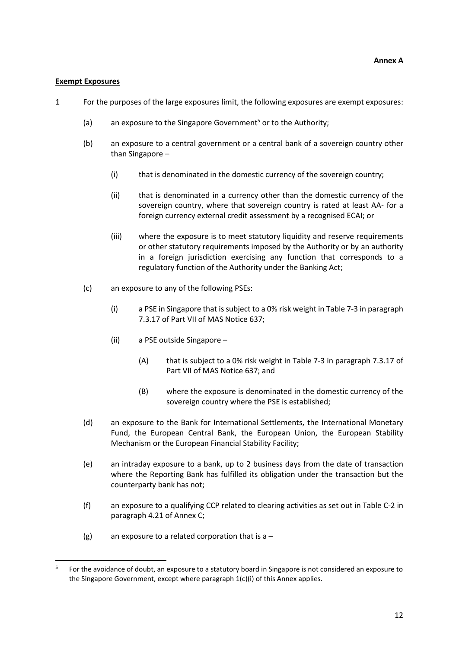#### **Exempt Exposures**

1

- 1 For the purposes of the large exposures limit, the following exposures are exempt exposures:
	- (a) an exposure to the Singapore Government<sup>5</sup> or to the Authority:
	- (b) an exposure to a central government or a central bank of a sovereign country other than Singapore –
		- (i) that is denominated in the domestic currency of the sovereign country;
		- (ii) that is denominated in a currency other than the domestic currency of the sovereign country, where that sovereign country is rated at least AA- for a foreign currency external credit assessment by a recognised ECAI; or
		- (iii) where the exposure is to meet statutory liquidity and reserve requirements or other statutory requirements imposed by the Authority or by an authority in a foreign jurisdiction exercising any function that corresponds to a regulatory function of the Authority under the Banking Act;
	- (c) an exposure to any of the following PSEs:
		- (i) a PSE in Singapore that is subject to a 0% risk weight in Table 7-3 in paragraph 7.3.17 of Part VII of MAS Notice 637;
		- (ii) a PSE outside Singapore
			- (A) that is subject to a 0% risk weight in Table 7-3 in paragraph 7.3.17 of Part VII of MAS Notice 637; and
			- (B) where the exposure is denominated in the domestic currency of the sovereign country where the PSE is established;
	- (d) an exposure to the Bank for International Settlements, the International Monetary Fund, the European Central Bank, the European Union, the European Stability Mechanism or the European Financial Stability Facility;
	- (e) an intraday exposure to a bank, up to 2 business days from the date of transaction where the Reporting Bank has fulfilled its obligation under the transaction but the counterparty bank has not;
	- (f) an exposure to a qualifying CCP related to clearing activities as set out in Table C-2 in paragraph 4.21 of Annex C;
	- (g) an exposure to a related corporation that is  $a -$

<sup>5</sup> For the avoidance of doubt, an exposure to a statutory board in Singapore is not considered an exposure to the Singapore Government, except where paragraph 1(c)(i) of this Annex applies.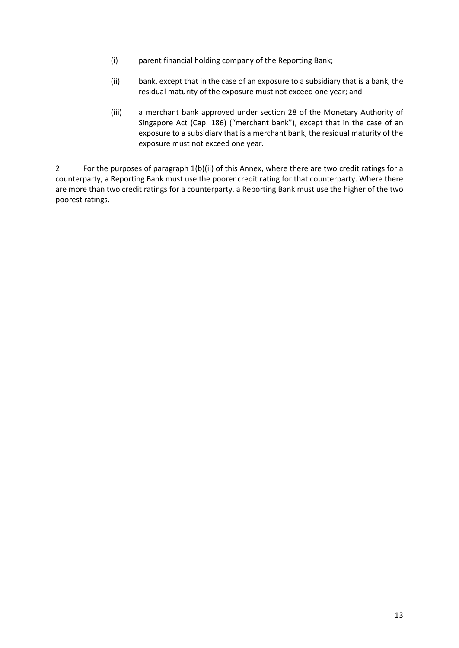- (i) parent financial holding company of the Reporting Bank;
- (ii) bank, except that in the case of an exposure to a subsidiary that is a bank, the residual maturity of the exposure must not exceed one year; and
- (iii) a merchant bank approved under section 28 of the Monetary Authority of Singapore Act (Cap. 186) ("merchant bank"), except that in the case of an exposure to a subsidiary that is a merchant bank, the residual maturity of the exposure must not exceed one year.

2 For the purposes of paragraph 1(b)(ii) of this Annex, where there are two credit ratings for a counterparty, a Reporting Bank must use the poorer credit rating for that counterparty. Where there are more than two credit ratings for a counterparty, a Reporting Bank must use the higher of the two poorest ratings.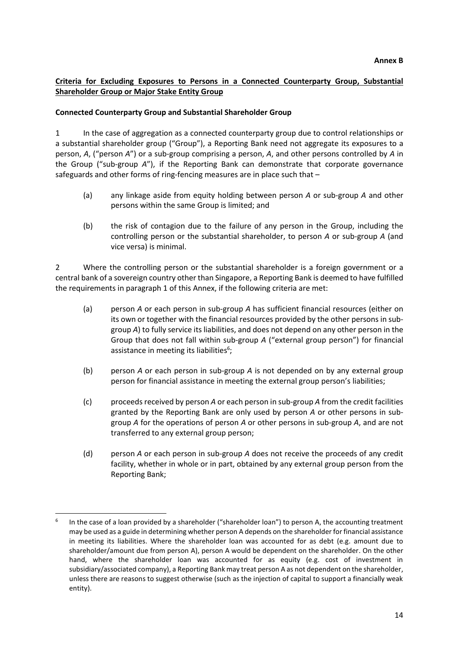## **Criteria for Excluding Exposures to Persons in a Connected Counterparty Group, Substantial Shareholder Group or Major Stake Entity Group**

#### **Connected Counterparty Group and Substantial Shareholder Group**

1 In the case of aggregation as a connected counterparty group due to control relationships or a substantial shareholder group ("Group"), a Reporting Bank need not aggregate its exposures to a person, *A*, ("person *A*") or a sub-group comprising a person, *A*, and other persons controlled by *A* in the Group ("sub-group *A*"), if the Reporting Bank can demonstrate that corporate governance safeguards and other forms of ring-fencing measures are in place such that –

- (a) any linkage aside from equity holding between person *A* or sub-group *A* and other persons within the same Group is limited; and
- (b) the risk of contagion due to the failure of any person in the Group, including the controlling person or the substantial shareholder, to person *A* or sub-group *A* (and vice versa) is minimal.

2 Where the controlling person or the substantial shareholder is a foreign government or a central bank of a sovereign country other than Singapore, a Reporting Bank is deemed to have fulfilled the requirements in paragraph 1 of this Annex, if the following criteria are met:

- (a) person *A* or each person in sub-group *A* has sufficient financial resources (either on its own or together with the financial resources provided by the other persons in subgroup *A*) to fully service its liabilities, and does not depend on any other person in the Group that does not fall within sub-group *A* ("external group person") for financial assistance in meeting its liabilities<sup>6</sup>;
- (b) person *A* or each person in sub-group *A* is not depended on by any external group person for financial assistance in meeting the external group person's liabilities;
- (c) proceeds received by person *A* or each person in sub-group *A* from the credit facilities granted by the Reporting Bank are only used by person *A* or other persons in subgroup *A* for the operations of person *A* or other persons in sub-group *A*, and are not transferred to any external group person;
- (d) person *A* or each person in sub-group *A* does not receive the proceeds of any credit facility, whether in whole or in part, obtained by any external group person from the Reporting Bank;

1

<sup>6</sup> In the case of a loan provided by a shareholder ("shareholder loan") to person A, the accounting treatment may be used as a guide in determining whether person A depends on the shareholder for financial assistance in meeting its liabilities. Where the shareholder loan was accounted for as debt (e.g. amount due to shareholder/amount due from person A), person A would be dependent on the shareholder. On the other hand, where the shareholder loan was accounted for as equity (e.g. cost of investment in subsidiary/associated company), a Reporting Bank may treat person A as not dependent on the shareholder, unless there are reasons to suggest otherwise (such as the injection of capital to support a financially weak entity).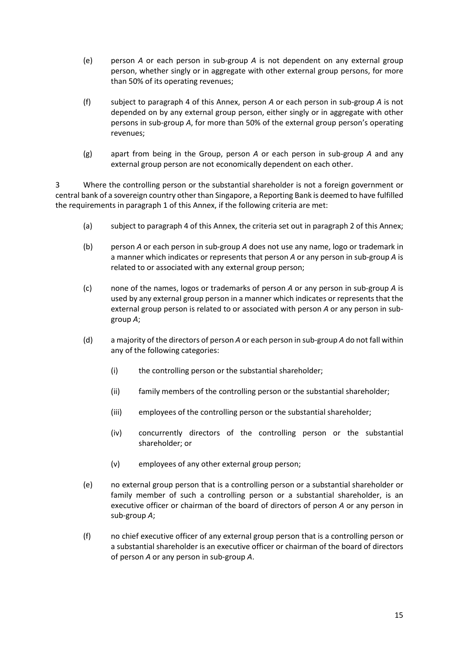- (e) person *A* or each person in sub-group *A* is not dependent on any external group person, whether singly or in aggregate with other external group persons, for more than 50% of its operating revenues;
- (f) subject to paragraph 4 of this Annex, person *A* or each person in sub-group *A* is not depended on by any external group person, either singly or in aggregate with other persons in sub-group *A*, for more than 50% of the external group person's operating revenues;
- (g) apart from being in the Group, person *A* or each person in sub-group *A* and any external group person are not economically dependent on each other.

3 Where the controlling person or the substantial shareholder is not a foreign government or central bank of a sovereign country other than Singapore, a Reporting Bank is deemed to have fulfilled the requirements in paragraph 1 of this Annex, if the following criteria are met:

- (a) subject to paragraph 4 of this Annex, the criteria set out in paragraph 2 of this Annex;
- (b) person *A* or each person in sub-group *A* does not use any name, logo or trademark in a manner which indicates or represents that person *A* or any person in sub-group *A* is related to or associated with any external group person;
- (c) none of the names, logos or trademarks of person *A* or any person in sub-group *A* is used by any external group person in a manner which indicates or represents that the external group person is related to or associated with person *A* or any person in subgroup *A*;
- (d) a majority of the directors of person *A* or each person in sub-group *A* do not fall within any of the following categories:
	- (i) the controlling person or the substantial shareholder;
	- (ii) family members of the controlling person or the substantial shareholder;
	- (iii) employees of the controlling person or the substantial shareholder;
	- (iv) concurrently directors of the controlling person or the substantial shareholder; or
	- (v) employees of any other external group person;
- (e) no external group person that is a controlling person or a substantial shareholder or family member of such a controlling person or a substantial shareholder, is an executive officer or chairman of the board of directors of person *A* or any person in sub-group *A*;
- (f) no chief executive officer of any external group person that is a controlling person or a substantial shareholder is an executive officer or chairman of the board of directors of person *A* or any person in sub-group *A*.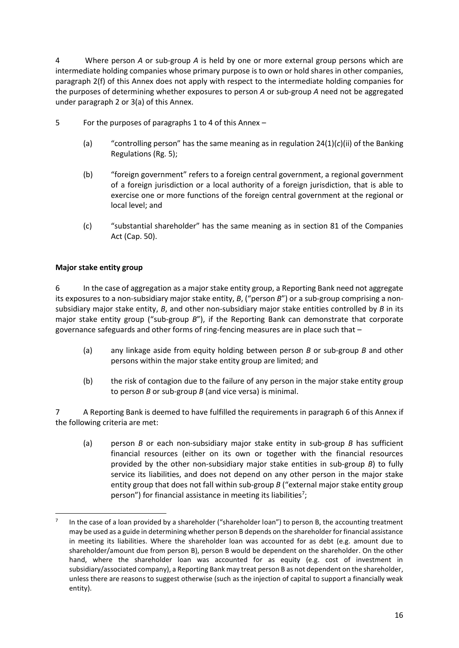4 Where person *A* or sub-group *A* is held by one or more external group persons which are intermediate holding companies whose primary purpose is to own or hold shares in other companies, paragraph 2(f) of this Annex does not apply with respect to the intermediate holding companies for the purposes of determining whether exposures to person *A* or sub-group *A* need not be aggregated under paragraph 2 or 3(a) of this Annex.

- 5 For the purposes of paragraphs 1 to 4 of this Annex
	- (a) "controlling person" has the same meaning as in regulation  $24(1)(c)(ii)$  of the Banking Regulations (Rg. 5);
	- (b) "foreign government" refers to a foreign central government, a regional government of a foreign jurisdiction or a local authority of a foreign jurisdiction, that is able to exercise one or more functions of the foreign central government at the regional or local level; and
	- (c) "substantial shareholder" has the same meaning as in section 81 of the Companies Act (Cap. 50).

## **Major stake entity group**

1

6 In the case of aggregation as a major stake entity group, a Reporting Bank need not aggregate its exposures to a non-subsidiary major stake entity, *B*, ("person *B*") or a sub-group comprising a nonsubsidiary major stake entity, *B*, and other non-subsidiary major stake entities controlled by *B* in its major stake entity group ("sub-group *B*"), if the Reporting Bank can demonstrate that corporate governance safeguards and other forms of ring-fencing measures are in place such that –

- (a) any linkage aside from equity holding between person *B* or sub-group *B* and other persons within the major stake entity group are limited; and
- (b) the risk of contagion due to the failure of any person in the major stake entity group to person *B* or sub-group *B* (and vice versa) is minimal.

7 A Reporting Bank is deemed to have fulfilled the requirements in paragraph 6 of this Annex if the following criteria are met:

(a) person *B* or each non-subsidiary major stake entity in sub-group *B* has sufficient financial resources (either on its own or together with the financial resources provided by the other non-subsidiary major stake entities in sub-group *B*) to fully service its liabilities, and does not depend on any other person in the major stake entity group that does not fall within sub-group *B* ("external major stake entity group person") for financial assistance in meeting its liabilities<sup>7</sup>;

<sup>7</sup> In the case of a loan provided by a shareholder ("shareholder loan") to person B, the accounting treatment may be used as a guide in determining whether person B depends on the shareholder for financial assistance in meeting its liabilities. Where the shareholder loan was accounted for as debt (e.g. amount due to shareholder/amount due from person B), person B would be dependent on the shareholder. On the other hand, where the shareholder loan was accounted for as equity (e.g. cost of investment in subsidiary/associated company), a Reporting Bank may treat person B as not dependent on the shareholder, unless there are reasons to suggest otherwise (such as the injection of capital to support a financially weak entity).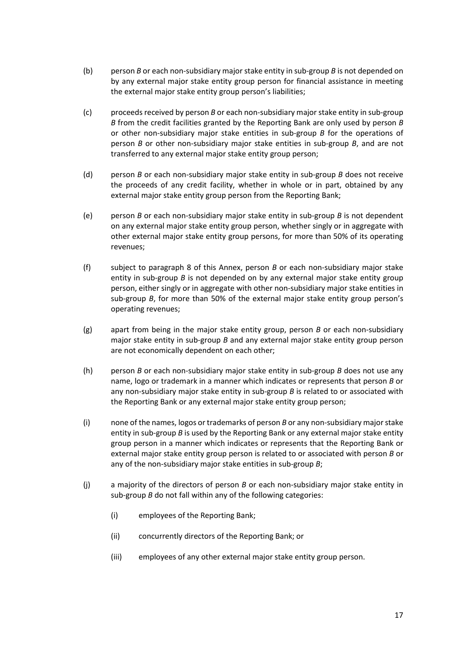- (b) person *B* or each non-subsidiary major stake entity in sub-group *B* is not depended on by any external major stake entity group person for financial assistance in meeting the external major stake entity group person's liabilities;
- (c) proceeds received by person *B* or each non-subsidiary major stake entity in sub-group *B* from the credit facilities granted by the Reporting Bank are only used by person *B* or other non-subsidiary major stake entities in sub-group *B* for the operations of person *B* or other non-subsidiary major stake entities in sub-group *B*, and are not transferred to any external major stake entity group person;
- (d) person *B* or each non-subsidiary major stake entity in sub-group *B* does not receive the proceeds of any credit facility, whether in whole or in part, obtained by any external major stake entity group person from the Reporting Bank;
- (e) person *B* or each non-subsidiary major stake entity in sub-group *B* is not dependent on any external major stake entity group person, whether singly or in aggregate with other external major stake entity group persons, for more than 50% of its operating revenues;
- (f) subject to paragraph 8 of this Annex, person *B* or each non-subsidiary major stake entity in sub-group *B* is not depended on by any external major stake entity group person, either singly or in aggregate with other non-subsidiary major stake entities in sub-group *B*, for more than 50% of the external major stake entity group person's operating revenues;
- (g) apart from being in the major stake entity group, person *B* or each non-subsidiary major stake entity in sub-group *B* and any external major stake entity group person are not economically dependent on each other;
- (h) person *B* or each non-subsidiary major stake entity in sub-group *B* does not use any name, logo or trademark in a manner which indicates or represents that person *B* or any non-subsidiary major stake entity in sub-group *B* is related to or associated with the Reporting Bank or any external major stake entity group person;
- (i) none of the names, logos or trademarks of person *B* or any non-subsidiary major stake entity in sub-group *B* is used by the Reporting Bank or any external major stake entity group person in a manner which indicates or represents that the Reporting Bank or external major stake entity group person is related to or associated with person *B* or any of the non-subsidiary major stake entities in sub-group *B*;
- (j) a majority of the directors of person *B* or each non-subsidiary major stake entity in sub-group *B* do not fall within any of the following categories:
	- (i) employees of the Reporting Bank;
	- (ii) concurrently directors of the Reporting Bank; or
	- (iii) employees of any other external major stake entity group person.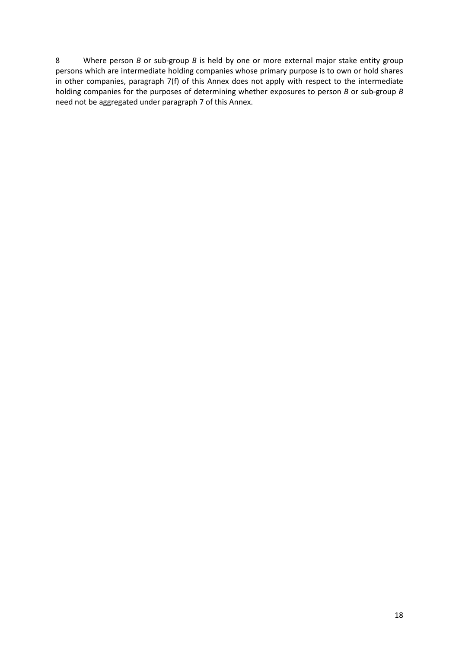8 Where person *B* or sub-group *B* is held by one or more external major stake entity group persons which are intermediate holding companies whose primary purpose is to own or hold shares in other companies, paragraph 7(f) of this Annex does not apply with respect to the intermediate holding companies for the purposes of determining whether exposures to person *B* or sub-group *B* need not be aggregated under paragraph 7 of this Annex.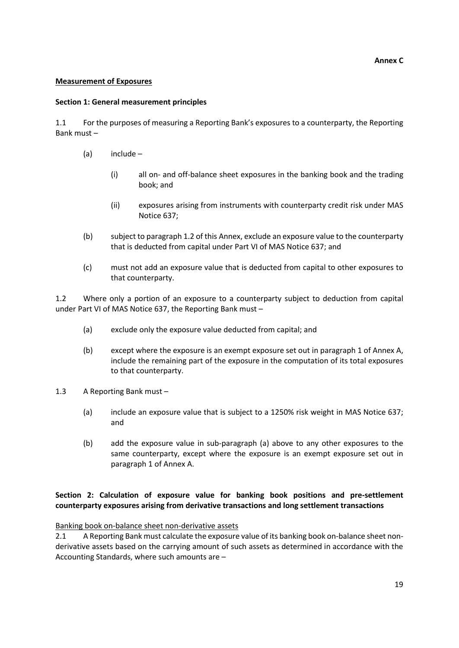#### **Annex C**

#### **Measurement of Exposures**

#### **Section 1: General measurement principles**

1.1 For the purposes of measuring a Reporting Bank's exposures to a counterparty, the Reporting Bank must –

- (a) include
	- (i) all on- and off-balance sheet exposures in the banking book and the trading book; and
	- (ii) exposures arising from instruments with counterparty credit risk under MAS Notice 637;
- (b) subject to paragraph 1.2 of this Annex, exclude an exposure value to the counterparty that is deducted from capital under Part VI of MAS Notice 637; and
- (c) must not add an exposure value that is deducted from capital to other exposures to that counterparty.

1.2 Where only a portion of an exposure to a counterparty subject to deduction from capital under Part VI of MAS Notice 637, the Reporting Bank must –

- (a) exclude only the exposure value deducted from capital; and
- (b) except where the exposure is an exempt exposure set out in paragraph 1 of Annex A, include the remaining part of the exposure in the computation of its total exposures to that counterparty.
- 1.3 A Reporting Bank must
	- (a) include an exposure value that is subject to a 1250% risk weight in MAS Notice 637; and
	- (b) add the exposure value in sub-paragraph (a) above to any other exposures to the same counterparty, except where the exposure is an exempt exposure set out in paragraph 1 of Annex A.

## **Section 2: Calculation of exposure value for banking book positions and pre-settlement counterparty exposures arising from derivative transactions and long settlement transactions**

Banking book on-balance sheet non-derivative assets

2.1 A Reporting Bank must calculate the exposure value of its banking book on-balance sheet nonderivative assets based on the carrying amount of such assets as determined in accordance with the Accounting Standards, where such amounts are –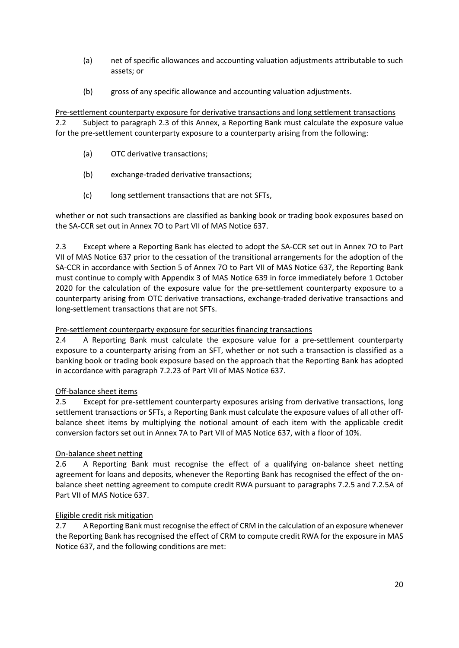- (a) net of specific allowances and accounting valuation adjustments attributable to such assets; or
- (b) gross of any specific allowance and accounting valuation adjustments.

Pre-settlement counterparty exposure for derivative transactions and long settlement transactions 2.2 Subject to paragraph 2.3 of this Annex, a Reporting Bank must calculate the exposure value for the pre-settlement counterparty exposure to a counterparty arising from the following:

- (a) OTC derivative transactions;
- (b) exchange-traded derivative transactions;
- (c) long settlement transactions that are not SFTs,

whether or not such transactions are classified as banking book or trading book exposures based on the SA-CCR set out in Annex 7O to Part VII of MAS Notice 637.

2.3 Except where a Reporting Bank has elected to adopt the SA-CCR set out in Annex 7O to Part VII of MAS Notice 637 prior to the cessation of the transitional arrangements for the adoption of the SA-CCR in accordance with Section 5 of Annex 7O to Part VII of MAS Notice 637, the Reporting Bank must continue to comply with Appendix 3 of MAS Notice 639 in force immediately before 1 October 2020 for the calculation of the exposure value for the pre-settlement counterparty exposure to a counterparty arising from OTC derivative transactions, exchange-traded derivative transactions and long-settlement transactions that are not SFTs.

## Pre-settlement counterparty exposure for securities financing transactions

2.4 A Reporting Bank must calculate the exposure value for a pre-settlement counterparty exposure to a counterparty arising from an SFT, whether or not such a transaction is classified as a banking book or trading book exposure based on the approach that the Reporting Bank has adopted in accordance with paragraph 7.2.23 of Part VII of MAS Notice 637.

## Off-balance sheet items

2.5 Except for pre-settlement counterparty exposures arising from derivative transactions, long settlement transactions or SFTs, a Reporting Bank must calculate the exposure values of all other offbalance sheet items by multiplying the notional amount of each item with the applicable credit conversion factors set out in Annex 7A to Part VII of MAS Notice 637, with a floor of 10%.

## On-balance sheet netting

2.6 A Reporting Bank must recognise the effect of a qualifying on-balance sheet netting agreement for loans and deposits, whenever the Reporting Bank has recognised the effect of the onbalance sheet netting agreement to compute credit RWA pursuant to paragraphs 7.2.5 and 7.2.5A of Part VII of MAS Notice 637.

## Eligible credit risk mitigation

2.7 A Reporting Bank must recognise the effect of CRM in the calculation of an exposure whenever the Reporting Bank has recognised the effect of CRM to compute credit RWA for the exposure in MAS Notice 637, and the following conditions are met: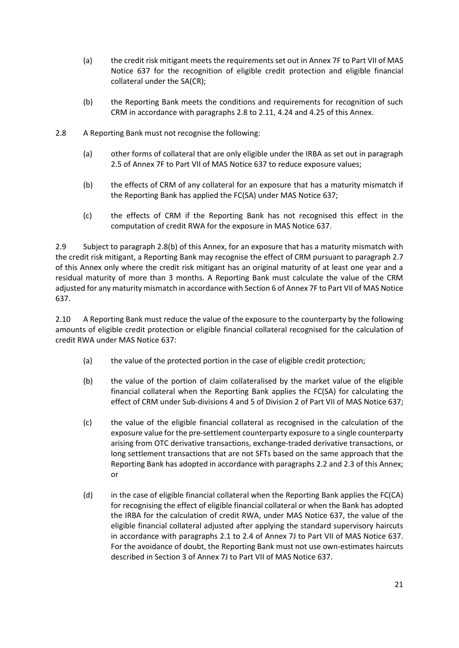- (a) the credit risk mitigant meets the requirements set out in Annex 7F to Part VII of MAS Notice 637 for the recognition of eligible credit protection and eligible financial collateral under the SA(CR);
- (b) the Reporting Bank meets the conditions and requirements for recognition of such CRM in accordance with paragraphs 2.8 to 2.11, 4.24 and 4.25 of this Annex.
- 2.8 A Reporting Bank must not recognise the following:
	- (a) other forms of collateral that are only eligible under the IRBA as set out in paragraph 2.5 of Annex 7F to Part VII of MAS Notice 637 to reduce exposure values;
	- (b) the effects of CRM of any collateral for an exposure that has a maturity mismatch if the Reporting Bank has applied the FC(SA) under MAS Notice 637;
	- (c) the effects of CRM if the Reporting Bank has not recognised this effect in the computation of credit RWA for the exposure in MAS Notice 637.

2.9 Subject to paragraph 2.8(b) of this Annex, for an exposure that has a maturity mismatch with the credit risk mitigant, a Reporting Bank may recognise the effect of CRM pursuant to paragraph 2.7 of this Annex only where the credit risk mitigant has an original maturity of at least one year and a residual maturity of more than 3 months. A Reporting Bank must calculate the value of the CRM adjusted for any maturity mismatch in accordance with Section 6 of Annex 7F to Part VII of MAS Notice 637.

2.10 A Reporting Bank must reduce the value of the exposure to the counterparty by the following amounts of eligible credit protection or eligible financial collateral recognised for the calculation of credit RWA under MAS Notice 637:

- (a) the value of the protected portion in the case of eligible credit protection;
- (b) the value of the portion of claim collateralised by the market value of the eligible financial collateral when the Reporting Bank applies the FC(SA) for calculating the effect of CRM under Sub-divisions 4 and 5 of Division 2 of Part VII of MAS Notice 637;
- (c) the value of the eligible financial collateral as recognised in the calculation of the exposure value for the pre-settlement counterparty exposure to a single counterparty arising from OTC derivative transactions, exchange-traded derivative transactions, or long settlement transactions that are not SFTs based on the same approach that the Reporting Bank has adopted in accordance with paragraphs 2.2 and 2.3 of this Annex; or
- (d) in the case of eligible financial collateral when the Reporting Bank applies the FC(CA) for recognising the effect of eligible financial collateral or when the Bank has adopted the IRBA for the calculation of credit RWA, under MAS Notice 637, the value of the eligible financial collateral adjusted after applying the standard supervisory haircuts in accordance with paragraphs 2.1 to 2.4 of Annex 7J to Part VII of MAS Notice 637. For the avoidance of doubt, the Reporting Bank must not use own-estimates haircuts described in Section 3 of Annex 7J to Part VII of MAS Notice 637.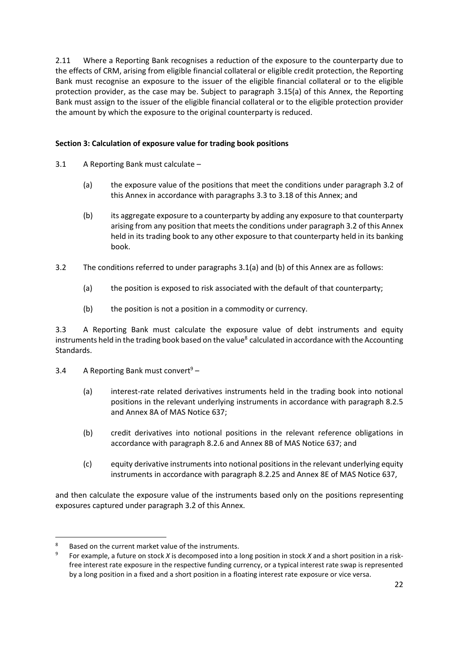2.11 Where a Reporting Bank recognises a reduction of the exposure to the counterparty due to the effects of CRM, arising from eligible financial collateral or eligible credit protection, the Reporting Bank must recognise an exposure to the issuer of the eligible financial collateral or to the eligible protection provider, as the case may be. Subject to paragraph 3.15(a) of this Annex, the Reporting Bank must assign to the issuer of the eligible financial collateral or to the eligible protection provider the amount by which the exposure to the original counterparty is reduced.

## **Section 3: Calculation of exposure value for trading book positions**

- 3.1 A Reporting Bank must calculate
	- (a) the exposure value of the positions that meet the conditions under paragraph 3.2 of this Annex in accordance with paragraphs 3.3 to 3.18 of this Annex; and
	- (b) its aggregate exposure to a counterparty by adding any exposure to that counterparty arising from any position that meets the conditions under paragraph 3.2 of this Annex held in its trading book to any other exposure to that counterparty held in its banking book.
- 3.2 The conditions referred to under paragraphs 3.1(a) and (b) of this Annex are as follows:
	- (a) the position is exposed to risk associated with the default of that counterparty;
	- (b) the position is not a position in a commodity or currency.

3.3 A Reporting Bank must calculate the exposure value of debt instruments and equity instruments held in the trading book based on the value<sup>8</sup> calculated in accordance with the Accounting Standards.

3.4 A Reporting Bank must convert<sup>9</sup> –

- (a) interest-rate related derivatives instruments held in the trading book into notional positions in the relevant underlying instruments in accordance with paragraph 8.2.5 and Annex 8A of MAS Notice 637;
- (b) credit derivatives into notional positions in the relevant reference obligations in accordance with paragraph 8.2.6 and Annex 8B of MAS Notice 637; and
- (c) equity derivative instruments into notional positions in the relevant underlying equity instruments in accordance with paragraph 8.2.25 and Annex 8E of MAS Notice 637,

and then calculate the exposure value of the instruments based only on the positions representing exposures captured under paragraph 3.2 of this Annex.

<sup>1</sup> Based on the current market value of the instruments.

<sup>9</sup> For example, a future on stock *X* is decomposed into a long position in stock *X* and a short position in a riskfree interest rate exposure in the respective funding currency, or a typical interest rate swap is represented by a long position in a fixed and a short position in a floating interest rate exposure or vice versa.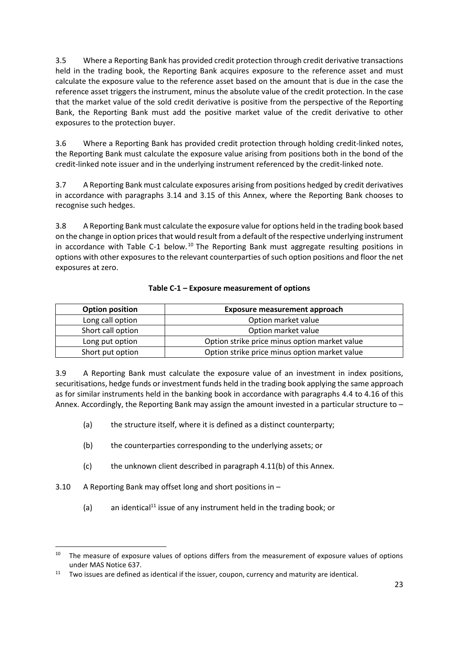3.5 Where a Reporting Bank has provided credit protection through credit derivative transactions held in the trading book, the Reporting Bank acquires exposure to the reference asset and must calculate the exposure value to the reference asset based on the amount that is due in the case the reference asset triggers the instrument, minus the absolute value of the credit protection. In the case that the market value of the sold credit derivative is positive from the perspective of the Reporting Bank, the Reporting Bank must add the positive market value of the credit derivative to other exposures to the protection buyer.

3.6 Where a Reporting Bank has provided credit protection through holding credit-linked notes, the Reporting Bank must calculate the exposure value arising from positions both in the bond of the credit-linked note issuer and in the underlying instrument referenced by the credit-linked note.

3.7 A Reporting Bank must calculate exposures arising from positions hedged by credit derivatives in accordance with paragraphs 3.14 and 3.15 of this Annex, where the Reporting Bank chooses to recognise such hedges.

3.8 A Reporting Bank must calculate the exposure value for options held in the trading book based on the change in option prices that would result from a default of the respective underlying instrument in accordance with Table C-1 below.<sup>10</sup> The Reporting Bank must aggregate resulting positions in options with other exposures to the relevant counterparties of such option positions and floor the net exposures at zero.

| <b>Option position</b> | <b>Exposure measurement approach</b>          |
|------------------------|-----------------------------------------------|
| Long call option       | Option market value                           |
| Short call option      | Option market value                           |
| Long put option        | Option strike price minus option market value |
| Short put option       | Option strike price minus option market value |

## **Table C-1 – Exposure measurement of options**

3.9 A Reporting Bank must calculate the exposure value of an investment in index positions, securitisations, hedge funds or investment funds held in the trading book applying the same approach as for similar instruments held in the banking book in accordance with paragraphs 4.4 to 4.16 of this Annex. Accordingly, the Reporting Bank may assign the amount invested in a particular structure to –

- (a) the structure itself, where it is defined as a distinct counterparty;
- (b) the counterparties corresponding to the underlying assets; or
- (c) the unknown client described in paragraph 4.11(b) of this Annex.
- 3.10 A Reporting Bank may offset long and short positions in –

**.** 

(a) an identical<sup>11</sup> issue of any instrument held in the trading book; or

<sup>&</sup>lt;sup>10</sup> The measure of exposure values of options differs from the measurement of exposure values of options under MAS Notice 637.

 $11$  Two issues are defined as identical if the issuer, coupon, currency and maturity are identical.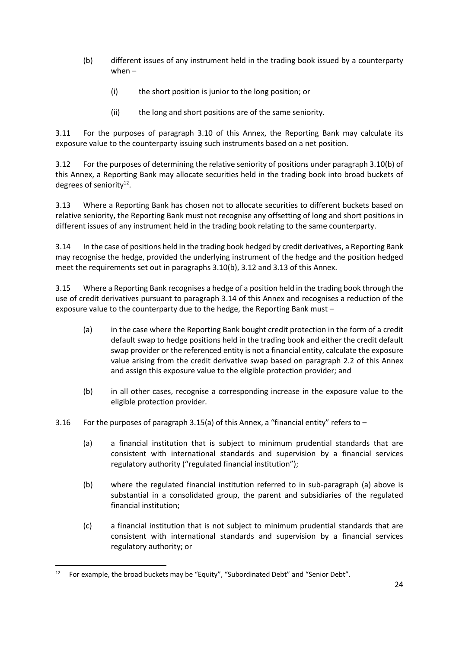- (b) different issues of any instrument held in the trading book issued by a counterparty when –
	- (i) the short position is junior to the long position; or
	- (ii) the long and short positions are of the same seniority.

3.11 For the purposes of paragraph 3.10 of this Annex, the Reporting Bank may calculate its exposure value to the counterparty issuing such instruments based on a net position.

3.12 For the purposes of determining the relative seniority of positions under paragraph 3.10(b) of this Annex, a Reporting Bank may allocate securities held in the trading book into broad buckets of degrees of seniority<sup>12</sup>.

3.13 Where a Reporting Bank has chosen not to allocate securities to different buckets based on relative seniority, the Reporting Bank must not recognise any offsetting of long and short positions in different issues of any instrument held in the trading book relating to the same counterparty.

3.14 In the case of positions held in the trading book hedged by credit derivatives, a Reporting Bank may recognise the hedge, provided the underlying instrument of the hedge and the position hedged meet the requirements set out in paragraphs 3.10(b), 3.12 and 3.13 of this Annex.

3.15 Where a Reporting Bank recognises a hedge of a position held in the trading book through the use of credit derivatives pursuant to paragraph 3.14 of this Annex and recognises a reduction of the exposure value to the counterparty due to the hedge, the Reporting Bank must –

- (a) in the case where the Reporting Bank bought credit protection in the form of a credit default swap to hedge positions held in the trading book and either the credit default swap provider or the referenced entity is not a financial entity, calculate the exposure value arising from the credit derivative swap based on paragraph 2.2 of this Annex and assign this exposure value to the eligible protection provider; and
- (b) in all other cases, recognise a corresponding increase in the exposure value to the eligible protection provider.
- 3.16 For the purposes of paragraph 3.15(a) of this Annex, a "financial entity" refers to  $-$ 
	- (a) a financial institution that is subject to minimum prudential standards that are consistent with international standards and supervision by a financial services regulatory authority ("regulated financial institution");
	- (b) where the regulated financial institution referred to in sub-paragraph (a) above is substantial in a consolidated group, the parent and subsidiaries of the regulated financial institution;
	- (c) a financial institution that is not subject to minimum prudential standards that are consistent with international standards and supervision by a financial services regulatory authority; or

1

<sup>&</sup>lt;sup>12</sup> For example, the broad buckets may be "Equity", "Subordinated Debt" and "Senior Debt".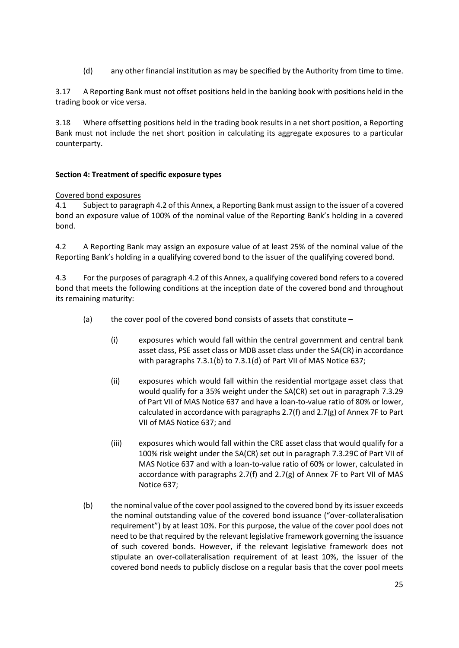(d) any other financial institution as may be specified by the Authority from time to time.

3.17 A Reporting Bank must not offset positions held in the banking book with positions held in the trading book or vice versa.

3.18 Where offsetting positions held in the trading book results in a net short position, a Reporting Bank must not include the net short position in calculating its aggregate exposures to a particular counterparty.

#### **Section 4: Treatment of specific exposure types**

#### Covered bond exposures

4.1 Subject to paragraph 4.2 of this Annex, a Reporting Bank must assign to the issuer of a covered bond an exposure value of 100% of the nominal value of the Reporting Bank's holding in a covered bond.

4.2 A Reporting Bank may assign an exposure value of at least 25% of the nominal value of the Reporting Bank's holding in a qualifying covered bond to the issuer of the qualifying covered bond.

4.3 For the purposes of paragraph 4.2 of this Annex, a qualifying covered bond refers to a covered bond that meets the following conditions at the inception date of the covered bond and throughout its remaining maturity:

- (a) the cover pool of the covered bond consists of assets that constitute
	- (i) exposures which would fall within the central government and central bank asset class, PSE asset class or MDB asset class under the SA(CR) in accordance with paragraphs 7.3.1(b) to 7.3.1(d) of Part VII of MAS Notice 637;
	- (ii) exposures which would fall within the residential mortgage asset class that would qualify for a 35% weight under the SA(CR) set out in paragraph 7.3.29 of Part VII of MAS Notice 637 and have a loan-to-value ratio of 80% or lower, calculated in accordance with paragraphs 2.7(f) and 2.7(g) of Annex 7F to Part VII of MAS Notice 637; and
	- (iii) exposures which would fall within the CRE asset class that would qualify for a 100% risk weight under the SA(CR) set out in paragraph 7.3.29C of Part VII of MAS Notice 637 and with a loan-to-value ratio of 60% or lower, calculated in accordance with paragraphs 2.7(f) and 2.7(g) of Annex 7F to Part VII of MAS Notice 637;
- (b) the nominal value of the cover pool assigned to the covered bond by its issuer exceeds the nominal outstanding value of the covered bond issuance ("over-collateralisation requirement") by at least 10%. For this purpose, the value of the cover pool does not need to be that required by the relevant legislative framework governing the issuance of such covered bonds. However, if the relevant legislative framework does not stipulate an over-collateralisation requirement of at least 10%, the issuer of the covered bond needs to publicly disclose on a regular basis that the cover pool meets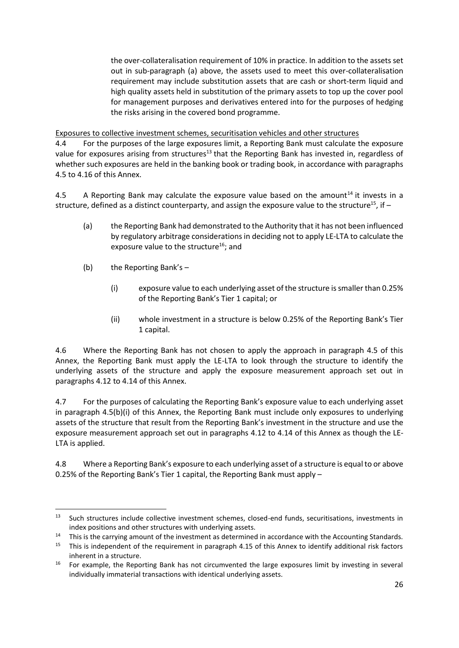the over-collateralisation requirement of 10% in practice. In addition to the assets set out in sub-paragraph (a) above, the assets used to meet this over-collateralisation requirement may include substitution assets that are cash or short-term liquid and high quality assets held in substitution of the primary assets to top up the cover pool for management purposes and derivatives entered into for the purposes of hedging the risks arising in the covered bond programme.

Exposures to collective investment schemes, securitisation vehicles and other structures

4.4 For the purposes of the large exposures limit, a Reporting Bank must calculate the exposure value for exposures arising from structures<sup>13</sup> that the Reporting Bank has invested in, regardless of whether such exposures are held in the banking book or trading book, in accordance with paragraphs 4.5 to 4.16 of this Annex.

4.5 A Reporting Bank may calculate the exposure value based on the amount<sup>14</sup> it invests in a structure, defined as a distinct counterparty, and assign the exposure value to the structure<sup>15</sup>, if  $-$ 

- (a) the Reporting Bank had demonstrated to the Authority that it has not been influenced by regulatory arbitrage considerations in deciding not to apply LE-LTA to calculate the exposure value to the structure<sup>16</sup>; and
- (b) the Reporting Bank's –

**.** 

- <span id="page-25-0"></span>(i) exposure value to each underlying asset of the structure is smaller than 0.25% of the Reporting Bank's Tier 1 capital; or
- (ii) whole investment in a structure is below 0.25% of the Reporting Bank's Tier 1 capital.

4.6 Where the Reporting Bank has not chosen to apply the approach in paragraph 4.5 of this Annex, the Reporting Bank must apply the LE-LTA to look through the structure to identify the underlying assets of the structure and apply the exposure measurement approach set out in paragraphs 4.12 to 4.14 of this Annex.

4.7 For the purposes of calculating the Reporting Bank's exposure value to each underlying asset in paragraph 4.5(b)(i) of this Annex, the Reporting Bank must include only exposures to underlying assets of the structure that result from the Reporting Bank's investment in the structure and use the exposure measurement approach set out in paragraphs 4.12 to 4.14 of this Annex as though the LE-LTA is applied.

4.8 Where a Reporting Bank's exposure to each underlying asset of a structure is equal to or above 0.25% of the Reporting Bank's Tier 1 capital, the Reporting Bank must apply –

<sup>&</sup>lt;sup>13</sup> Such structures include collective investment schemes, closed-end funds, securitisations, investments in index positions and other structures with underlying assets.

<sup>&</sup>lt;sup>14</sup> This is the carrying amount of the investment as determined in accordance with the Accounting Standards.<br><sup>15</sup> This is independent of the requirement in paragraph 4.15 of this Annex to identify additional risk factors

<sup>15</sup> This is independent of the requirement in paragraph 4.15 of this Annex to identify additional risk factors inherent in a structure.

<sup>&</sup>lt;sup>16</sup> For example, the Reporting Bank has not circumvented the large exposures limit by investing in several individually immaterial transactions with identical underlying assets.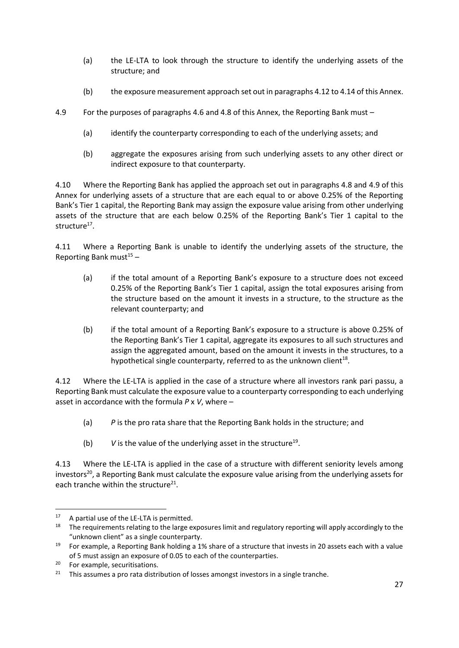- (a) the LE-LTA to look through the structure to identify the underlying assets of the structure; and
- (b) the exposure measurement approach set out in paragraphs 4.12 to 4.14 of this Annex.
- 4.9 For the purposes of paragraphs 4.6 and 4.8 of this Annex, the Reporting Bank must
	- (a) identify the counterparty corresponding to each of the underlying assets; and
	- (b) aggregate the exposures arising from such underlying assets to any other direct or indirect exposure to that counterparty.

4.10 Where the Reporting Bank has applied the approach set out in paragraphs 4.8 and 4.9 of this Annex for underlying assets of a structure that are each equal to or above 0.25% of the Reporting Bank's Tier 1 capital, the Reporting Bank may assign the exposure value arising from other underlying assets of the structure that are each below 0.25% of the Reporting Bank's Tier 1 capital to the structure<sup>17</sup>.

4.11 Where a Reporting Bank is unable to identify the underlying assets of the structure, the Reporting Bank must $15 15 -$ 

- (a) if the total amount of a Reporting Bank's exposure to a structure does not exceed 0.25% of the Reporting Bank's Tier 1 capital, assign the total exposures arising from the structure based on the amount it invests in a structure, to the structure as the relevant counterparty; and
- (b) if the total amount of a Reporting Bank's exposure to a structure is above 0.25% of the Reporting Bank's Tier 1 capital, aggregate its exposures to all such structures and assign the aggregated amount, based on the amount it invests in the structures, to a hypothetical single counterparty, referred to as the unknown client $^{18}$ .

4.12 Where the LE-LTA is applied in the case of a structure where all investors rank pari passu, a Reporting Bank must calculate the exposure value to a counterparty corresponding to each underlying asset in accordance with the formula *P* x *V*, where –

- (a) *P* is the pro rata share that the Reporting Bank holds in the structure; and
- (b)  $V$  is the value of the underlying asset in the structure<sup>19</sup>.

4.13 Where the LE-LTA is applied in the case of a structure with different seniority levels among investors<sup>20</sup>, a Reporting Bank must calculate the exposure value arising from the underlying assets for each tranche within the structure $^{21}$ .

**.** 

<sup>&</sup>lt;sup>17</sup> A partial use of the LE-LTA is permitted.

<sup>&</sup>lt;sup>18</sup> The requirements relating to the large exposures limit and regulatory reporting will apply accordingly to the "unknown client" as a single counterparty.

<sup>&</sup>lt;sup>19</sup> For example, a Reporting Bank holding a 1% share of a structure that invests in 20 assets each with a value of 5 must assign an exposure of 0.05 to each of the counterparties.

<sup>&</sup>lt;sup>20</sup> For example, securitisations.

 $21$  This assumes a pro rata distribution of losses amongst investors in a single tranche.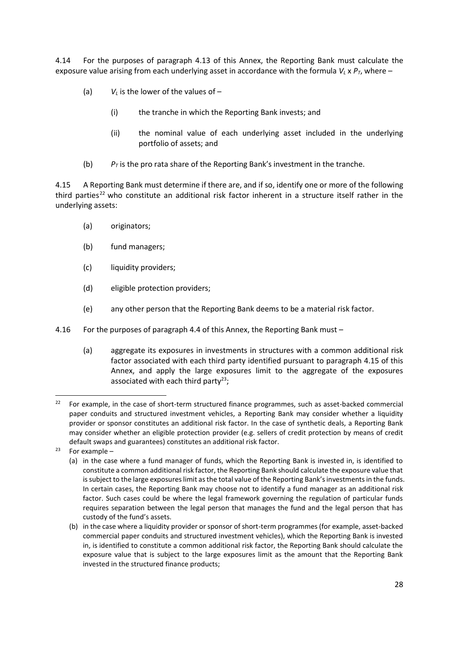4.14 For the purposes of paragraph 4.13 of this Annex, the Reporting Bank must calculate the exposure value arising from each underlying asset in accordance with the formula  $V_L \times P_T$ , where –

- (a)  $V_L$  is the lower of the values of  $-$ 
	- (i) the tranche in which the Reporting Bank invests; and
	- (ii) the nominal value of each underlying asset included in the underlying portfolio of assets; and
- (b)  $P_T$  is the pro rata share of the Reporting Bank's investment in the tranche.

4.15 A Reporting Bank must determine if there are, and if so, identify one or more of the following third parties<sup>22</sup> who constitute an additional risk factor inherent in a structure itself rather in the underlying assets:

- (a) originators;
- (b) fund managers;
- (c) liquidity providers;
- (d) eligible protection providers;
- (e) any other person that the Reporting Bank deems to be a material risk factor.
- 4.16 For the purposes of paragraph 4.4 of this Annex, the Reporting Bank must
	- (a) aggregate its exposures in investments in structures with a common additional risk factor associated with each third party identified pursuant to paragraph 4.15 of this Annex, and apply the large exposures limit to the aggregate of the exposures associated with each third party<sup>23</sup>;

**.** 

<sup>&</sup>lt;sup>22</sup> For example, in the case of short-term structured finance programmes, such as asset-backed commercial paper conduits and structured investment vehicles, a Reporting Bank may consider whether a liquidity provider or sponsor constitutes an additional risk factor. In the case of synthetic deals, a Reporting Bank may consider whether an eligible protection provider (e.g. sellers of credit protection by means of credit default swaps and guarantees) constitutes an additional risk factor.

 $23$  For example –

<sup>(</sup>a) in the case where a fund manager of funds, which the Reporting Bank is invested in, is identified to constitute a common additional risk factor, the Reporting Bank should calculate the exposure value that is subject to the large exposures limit as the total value of the Reporting Bank's investments in the funds. In certain cases, the Reporting Bank may choose not to identify a fund manager as an additional risk factor. Such cases could be where the legal framework governing the regulation of particular funds requires separation between the legal person that manages the fund and the legal person that has custody of the fund's assets.

<sup>(</sup>b) in the case where a liquidity provider or sponsor of short-term programmes (for example, asset-backed commercial paper conduits and structured investment vehicles), which the Reporting Bank is invested in, is identified to constitute a common additional risk factor, the Reporting Bank should calculate the exposure value that is subject to the large exposures limit as the amount that the Reporting Bank invested in the structured finance products;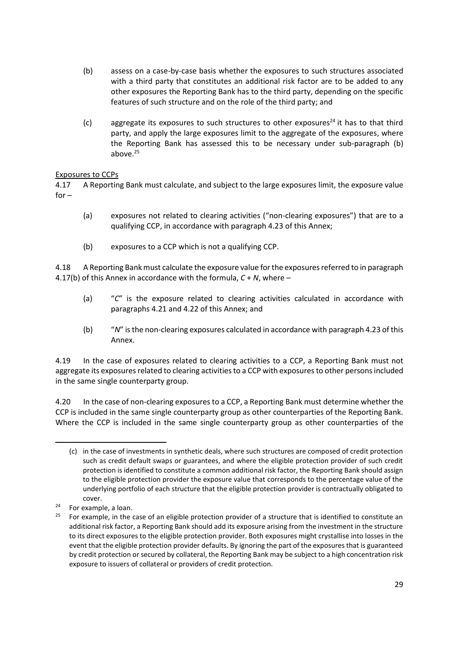- (b) assess on a case-by-case basis whether the exposures to such structures associated with a third party that constitutes an additional risk factor are to be added to any other exposures the Reporting Bank has to the third party, depending on the specific features of such structure and on the role of the third party; and
- (c) aggregate its exposures to such structures to other exposures<sup>24</sup> it has to that third party, and apply the large exposures limit to the aggregate of the exposures, where the Reporting Bank has assessed this to be necessary under sub-paragraph (b) above. 25

# Exposures to CCPs

4.17 A Reporting Bank must calculate, and subject to the large exposures limit, the exposure value  $for -$ 

- (a) exposures not related to clearing activities ("non-clearing exposures") that are to a qualifying CCP, in accordance with paragraph 4.23 of this Annex;
- (b) exposures to a CCP which is not a qualifying CCP.

4.18 A Reporting Bank must calculate the exposure value for the exposures referred to in paragraph 4.17(b) of this Annex in accordance with the formula, *C* + *N*, where –

- (a) "*C*" is the exposure related to clearing activities calculated in accordance with paragraphs 4.21 and 4.22 of this Annex; and
- (b) "*N*" is the non-clearing exposures calculated in accordance with paragraph 4.23 of this Annex.

4.19 In the case of exposures related to clearing activities to a CCP, a Reporting Bank must not aggregate its exposures related to clearing activities to a CCP with exposures to other persons included in the same single counterparty group.

4.20 In the case of non-clearing exposures to a CCP, a Reporting Bank must determine whether the CCP is included in the same single counterparty group as other counterparties of the Reporting Bank. Where the CCP is included in the same single counterparty group as other counterparties of the

-

<sup>(</sup>c) in the case of investments in synthetic deals, where such structures are composed of credit protection such as credit default swaps or guarantees, and where the eligible protection provider of such credit protection is identified to constitute a common additional risk factor, the Reporting Bank should assign to the eligible protection provider the exposure value that corresponds to the percentage value of the underlying portfolio of each structure that the eligible protection provider is contractually obligated to cover.

 $24$  For example, a loan.

 $25$  For example, in the case of an eligible protection provider of a structure that is identified to constitute an additional risk factor, a Reporting Bank should add its exposure arising from the investment in the structure to its direct exposures to the eligible protection provider. Both exposures might crystallise into losses in the event that the eligible protection provider defaults. By ignoring the part of the exposures that is guaranteed by credit protection or secured by collateral, the Reporting Bank may be subject to a high concentration risk exposure to issuers of collateral or providers of credit protection.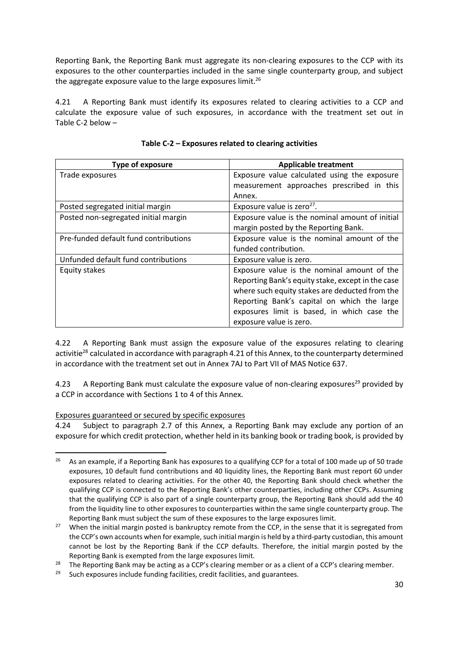Reporting Bank, the Reporting Bank must aggregate its non-clearing exposures to the CCP with its exposures to the other counterparties included in the same single counterparty group, and subject the aggregate exposure value to the large exposures limit.<sup>26</sup>

4.21 A Reporting Bank must identify its exposures related to clearing activities to a CCP and calculate the exposure value of such exposures, in accordance with the treatment set out in Table C-2 below –

| <b>Type of exposure</b>               | <b>Applicable treatment</b>                       |
|---------------------------------------|---------------------------------------------------|
| Trade exposures                       | Exposure value calculated using the exposure      |
|                                       | measurement approaches prescribed in this         |
|                                       | Annex.                                            |
| Posted segregated initial margin      | Exposure value is zero <sup>27</sup> .            |
| Posted non-segregated initial margin  | Exposure value is the nominal amount of initial   |
|                                       | margin posted by the Reporting Bank.              |
| Pre-funded default fund contributions | Exposure value is the nominal amount of the       |
|                                       | funded contribution.                              |
| Unfunded default fund contributions   | Exposure value is zero.                           |
| Equity stakes                         | Exposure value is the nominal amount of the       |
|                                       | Reporting Bank's equity stake, except in the case |
|                                       | where such equity stakes are deducted from the    |
|                                       | Reporting Bank's capital on which the large       |
|                                       | exposures limit is based, in which case the       |
|                                       | exposure value is zero.                           |

|  | Table C-2 - Exposures related to clearing activities |
|--|------------------------------------------------------|
|--|------------------------------------------------------|

4.22 A Reporting Bank must assign the exposure value of the exposures relating to clearing activitie<sup>28</sup> calculated in accordance with paragraph 4.21 of this Annex, to the counterparty determined in accordance with the treatment set out in Annex 7AJ to Part VII of MAS Notice 637.

4.23 A Reporting Bank must calculate the exposure value of non-clearing exposures<sup>29</sup> provided by a CCP in accordance with Sections 1 to 4 of this Annex.

## Exposures guaranteed or secured by specific exposures

1

4.24 Subject to paragraph 2.7 of this Annex, a Reporting Bank may exclude any portion of an exposure for which credit protection, whether held in its banking book or trading book, is provided by

<sup>&</sup>lt;sup>26</sup> As an example, if a Reporting Bank has exposures to a qualifying CCP for a total of 100 made up of 50 trade exposures, 10 default fund contributions and 40 liquidity lines, the Reporting Bank must report 60 under exposures related to clearing activities. For the other 40, the Reporting Bank should check whether the qualifying CCP is connected to the Reporting Bank's other counterparties, including other CCPs. Assuming that the qualifying CCP is also part of a single counterparty group, the Reporting Bank should add the 40 from the liquidity line to other exposures to counterparties within the same single counterparty group. The Reporting Bank must subject the sum of these exposures to the large exposures limit.

<sup>&</sup>lt;sup>27</sup> When the initial margin posted is bankruptcy remote from the CCP, in the sense that it is segregated from the CCP's own accounts when for example, such initial margin is held by a third-party custodian, this amount cannot be lost by the Reporting Bank if the CCP defaults. Therefore, the initial margin posted by the Reporting Bank is exempted from the large exposures limit.

<sup>&</sup>lt;sup>28</sup> The Reporting Bank may be acting as a CCP's clearing member or as a client of a CCP's clearing member.<br><sup>29</sup> Such expecting include funding facilities, credit facilities, and guarantees.

Such exposures include funding facilities, credit facilities, and guarantees.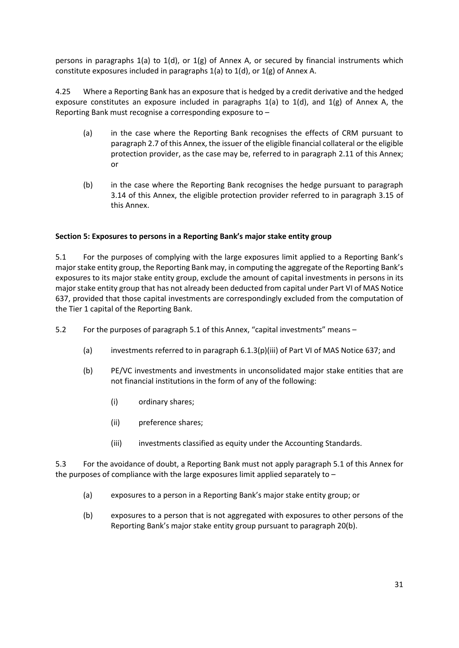persons in paragraphs 1(a) to 1(d), or 1(g) of Annex A, or secured by financial instruments which constitute exposures included in paragraphs 1(a) to 1(d), or 1(g) of Annex A.

4.25 Where a Reporting Bank has an exposure that is hedged by a credit derivative and the hedged exposure constitutes an exposure included in paragraphs  $1(a)$  to  $1(d)$ , and  $1(g)$  of Annex A, the Reporting Bank must recognise a corresponding exposure to –

- (a) in the case where the Reporting Bank recognises the effects of CRM pursuant to paragraph 2.7 of this Annex, the issuer of the eligible financial collateral or the eligible protection provider, as the case may be, referred to in paragraph 2.11 of this Annex; or
- (b) in the case where the Reporting Bank recognises the hedge pursuant to paragraph 3.14 of this Annex, the eligible protection provider referred to in paragraph 3.15 of this Annex.

## **Section 5: Exposures to persons in a Reporting Bank's major stake entity group**

5.1 For the purposes of complying with the large exposures limit applied to a Reporting Bank's major stake entity group, the Reporting Bank may, in computing the aggregate of the Reporting Bank's exposures to its major stake entity group, exclude the amount of capital investments in persons in its major stake entity group that has not already been deducted from capital under Part VI of MAS Notice 637, provided that those capital investments are correspondingly excluded from the computation of the Tier 1 capital of the Reporting Bank.

- 5.2 For the purposes of paragraph 5.1 of this Annex, "capital investments" means
	- (a) investments referred to in paragraph 6.1.3(p)(iii) of Part VI of MAS Notice 637; and
	- (b) PE/VC investments and investments in unconsolidated major stake entities that are not financial institutions in the form of any of the following:
		- (i) ordinary shares;
		- (ii) preference shares;
		- (iii) investments classified as equity under the Accounting Standards.

5.3 For the avoidance of doubt, a Reporting Bank must not apply paragraph 5.1 of this Annex for the purposes of compliance with the large exposures limit applied separately to –

- (a) exposures to a person in a Reporting Bank's major stake entity group; or
- (b) exposures to a person that is not aggregated with exposures to other persons of the Reporting Bank's major stake entity group pursuant to paragraph 20(b).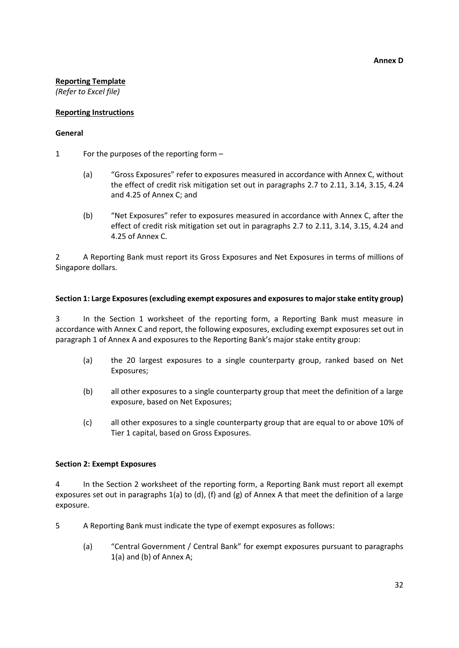#### **Reporting Template**

*(Refer to Excel file)*

#### **Reporting Instructions**

#### **General**

- 1 For the purposes of the reporting form
	- (a) "Gross Exposures" refer to exposures measured in accordance with Annex C, without the effect of credit risk mitigation set out in paragraphs 2.7 to 2.11, 3.14, 3.15, 4.24 and 4.25 of Annex C; and
	- (b) "Net Exposures" refer to exposures measured in accordance with Annex C, after the effect of credit risk mitigation set out in paragraphs 2.7 to 2.11, 3.14, 3.15, 4.24 and 4.25 of Annex C.

2 A Reporting Bank must report its Gross Exposures and Net Exposures in terms of millions of Singapore dollars.

#### **Section 1: Large Exposures (excluding exempt exposures and exposures to major stake entity group)**

3 In the Section 1 worksheet of the reporting form, a Reporting Bank must measure in accordance with Annex C and report, the following exposures, excluding exempt exposures set out in paragraph 1 of Annex A and exposures to the Reporting Bank's major stake entity group:

- (a) the 20 largest exposures to a single counterparty group, ranked based on Net Exposures;
- (b) all other exposures to a single counterparty group that meet the definition of a large exposure, based on Net Exposures;
- (c) all other exposures to a single counterparty group that are equal to or above 10% of Tier 1 capital, based on Gross Exposures.

#### **Section 2: Exempt Exposures**

4 In the Section 2 worksheet of the reporting form, a Reporting Bank must report all exempt exposures set out in paragraphs 1(a) to (d), (f) and (g) of Annex A that meet the definition of a large exposure.

- 5 A Reporting Bank must indicate the type of exempt exposures as follows:
	- (a) "Central Government / Central Bank" for exempt exposures pursuant to paragraphs 1(a) and (b) of Annex A;